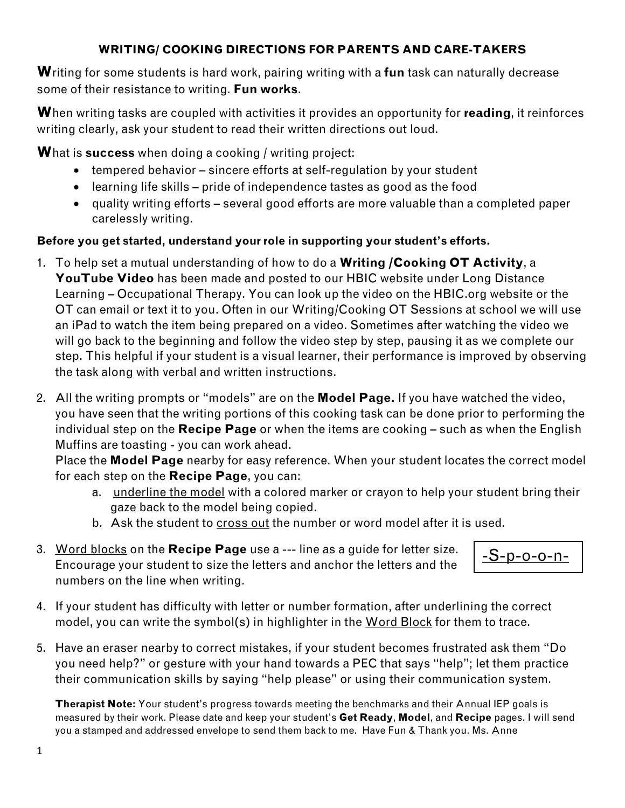#### **WRITING/ COOKING DIRECTIONS FOR PARENTS AND CARE-TAKERS**

**W**riting for some students is hard work, pairing writing with a **fun** task can naturally decrease some of their resistance to writing. **Fun works**.

**W**hen writing tasks are coupled with activities it provides an opportunity for **reading**, it reinforces writing clearly, ask your student to read their written directions out loud.

**W**hat is **success** when doing a cooking / writing project:

- tempered behavior sincere efforts at self-regulation by your student
- learning life skills pride of independence tastes as good as the food
- quality writing efforts several good efforts are more valuable than a completed paper carelessly writing.

### **Before you get started, understand your role in supporting your student's efforts.**

- 1. To help set a mutual understanding of how to do a **Writing /Cooking OT Activity**, a **YouTube Video** has been made and posted to our HBIC website under Long Distance Learning – Occupational Therapy. You can look up the video on the HBIC.org website or the OT can email or text it to you. Often in our Writing/Cooking OT Sessions at school we will use an iPad to watch the item being prepared on a video. Sometimes after watching the video we will go back to the beginning and follow the video step by step, pausing it as we complete our step. This helpful if your student is a visual learner, their performance is improved by observing the task along with verbal and written instructions.
- 2. All the writing prompts or "models" are on the **Model Page.** If you have watched the video, you have seen that the writing portions of this cooking task can be done prior to performing the individual step on the **Recipe Page** or when the items are cooking – such as when the English Muffins are toasting - you can work ahead.

Place the **Model Page** nearby for easy reference. When your student locates the correct model for each step on the **Recipe Page**, you can:

a. underline the model with a colored marker or crayon to help your student bring their gaze back to the model being copied.

-S-p-o-o-n-

- b. Ask the student to cross out the number or word model after it is used.
- 3. Word blocks on the **Recipe Page** use a --- line as a guide for letter size. Encourage your student to size the letters and anchor the letters and the numbers on the line when writing.
- 4. If your student has difficulty with letter or number formation, after underlining the correct model, you can write the symbol(s) in highlighter in the Word Block for them to trace.
- 5. Have an eraser nearby to correct mistakes, if your student becomes frustrated ask them "Do you need help?" or gesture with your hand towards a PEC that says "help"; let them practice their communication skills by saying "help please" or using their communication system.

**Therapist Note:** Your student's progress towards meeting the benchmarks and their Annual IEP goals is measured by their work. Please date and keep your student's **Get Ready**, **Model**, and **Recipe** pages. I will send you a stamped and addressed envelope to send them back to me. Have Fun & Thank you. Ms. Anne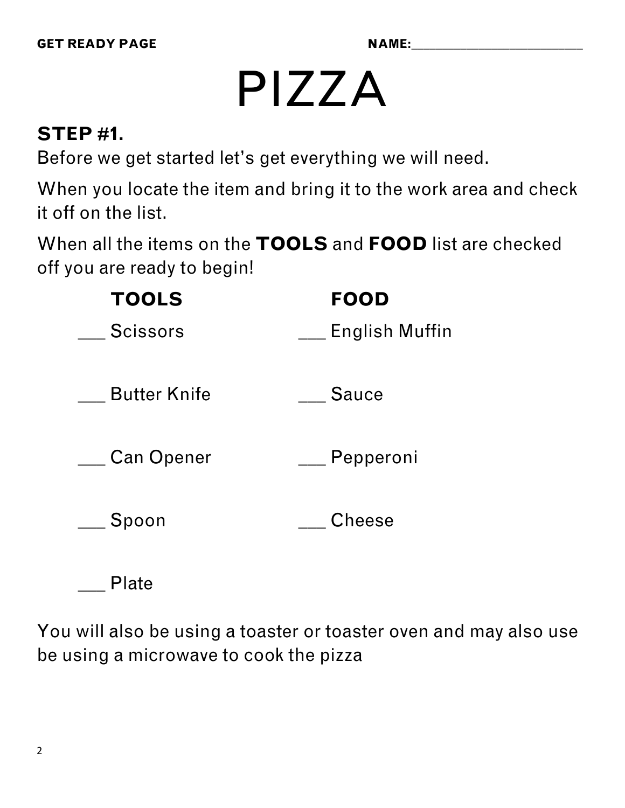# PIZZA

## **STEP #1.**

Before we get started let's get everything we will need.

When you locate the item and bring it to the work area and check it off on the list.

When all the items on the **TOOLS** and **FOOD** list are checked off you are ready to begin!

| <b>TOOLS</b>        | <b>FOOD</b>           |
|---------------------|-----------------------|
| <b>Scissors</b>     | <b>English Muffin</b> |
| <b>Butter Knife</b> | <b>Sauce</b>          |
| <b>Can Opener</b>   | Pepperoni             |
| Spoon               | Cheese                |
|                     |                       |

You will also be using a toaster or toaster oven and may also use be using a microwave to cook the pizza

\_\_\_ Plate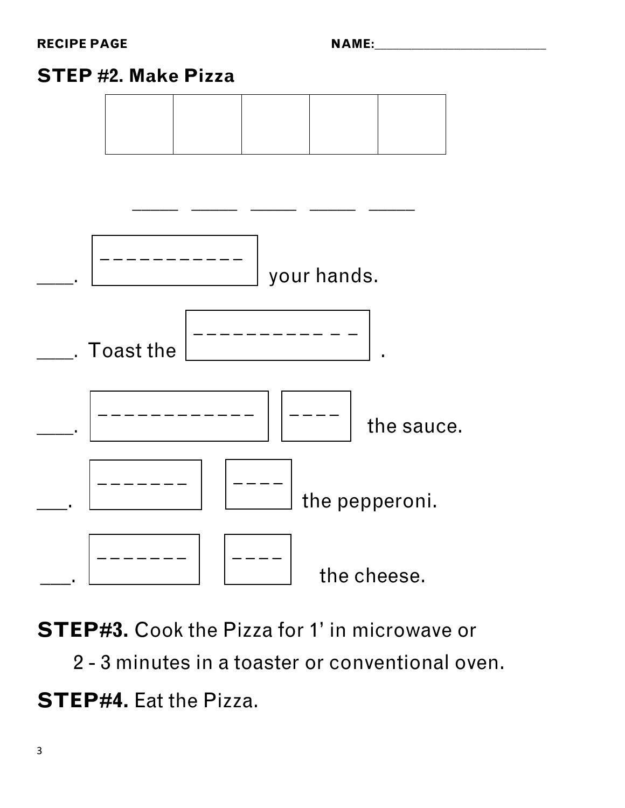## **STEP #2. Make Pizza**



STEP#3. Cook the Pizza for 1' in microwave or

2 - 3 minutes in a toaster or conventional oven.  $\overline{a}$ 

**STEP#4.** Eat the Pizza.